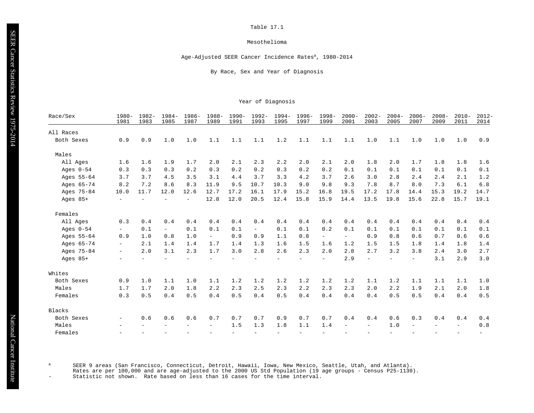#### Mesothelioma

Age-Adjusted SEER Cancer Incidence Rates<sup>a</sup>, 1980-2014

By Race, Sex and Year of Diagnosis

#### Year of Diagnosis

| Race/Sex    | $1980 -$<br>1981         | 1982-<br>1983 | $1984-$<br>1985 | $1986-$<br>1987          | $1988 -$<br>1989 | $1990 -$<br>1991 | $1992 -$<br>1993         | $1994-$<br>1995          | 1996-<br>1997            | $1998 -$<br>1999         | $2000 -$<br>2001 | $2002 -$<br>2003 | $2004 -$<br>2005 | $2006 -$<br>2007         | $2008 -$<br>2009 | $2010 -$<br>2011 | $2012 -$<br>2014 |
|-------------|--------------------------|---------------|-----------------|--------------------------|------------------|------------------|--------------------------|--------------------------|--------------------------|--------------------------|------------------|------------------|------------------|--------------------------|------------------|------------------|------------------|
| All Races   |                          |               |                 |                          |                  |                  |                          |                          |                          |                          |                  |                  |                  |                          |                  |                  |                  |
| Both Sexes  | 0.9                      | 0.9           | 1.0             | 1.0                      | 1.1              | 1.1              | 1.1                      | 1.2                      | 1.1                      | 1.1                      | 1.1              | 1.0              | 1.1              | 1.0                      | 1.0              | 1.0              | 0.9              |
| Males       |                          |               |                 |                          |                  |                  |                          |                          |                          |                          |                  |                  |                  |                          |                  |                  |                  |
| All Ages    | 1.6                      | 1.6           | 1.9             | 1.7                      | 2.0              | 2.1              | 2.3                      | 2.2                      | 2.0                      | 2.1                      | 2.0              | 1.8              | 2.0              | 1.7                      | 1.8              | 1.8              | 1.6              |
| Ages $0-54$ | 0.3                      | 0.3           | 0.3             | 0.2                      | 0.3              | 0.2              | 0.2                      | 0.3                      | 0.2                      | 0.2                      | 0.1              | 0.1              | 0.1              | 0.1                      | 0.1              | 0.1              | 0.1              |
| Ages 55-64  | 3.7                      | 3.7           | 4.5             | 3.5                      | 3.1              | 4.4              | 3.7                      | 3.3                      | 4.2                      | 3.7                      | 2.6              | 3.0              | 2.8              | 2.4                      | 2.4              | 2.1              | 1.2              |
| Ages 65-74  | 8.2                      | 7.2           | 8.6             | 8.3                      | 11.9             | 9.5              | 10.7                     | 10.3                     | 9.0                      | 9.8                      | 9.3              | 7.8              | 8.7              | 8.0                      | 7.3              | 6.1              | 6.8              |
| Ages 75-84  | 10.0                     | 11.7          | 12.0            | 12.6                     | 12.7             | 17.2             | 16.1                     | 17.9                     | 15.2                     | 16.8                     | 19.5             | 17.2             | 17.8             | 14.4                     | 15.3             | 19.2             | 14.7             |
| Ages $85+$  | $-$                      | $\equiv$      |                 | $\overline{\phantom{a}}$ | 12.8             | 12.0             | 20.5                     | 12.4                     | 15.8                     | 15.9                     | 14.4             | 13.5             | 19.8             | 15.6                     | 22.8             | 15.7             | 19.1             |
| Females     |                          |               |                 |                          |                  |                  |                          |                          |                          |                          |                  |                  |                  |                          |                  |                  |                  |
| All Ages    | 0.3                      | 0.4           | 0.4             | 0.4                      | 0.4              | 0.4              | 0.4                      | 0.4                      | 0.4                      | 0.4                      | 0.4              | 0.4              | 0.4              | 0.4                      | 0.4              | 0.4              | 0.4              |
| Ages $0-54$ | $\equiv$                 | 0.1           | $\overline{a}$  | 0.1                      | 0.1              | 0.1              | $\equiv$                 | 0.1                      | 0.1                      | 0.2                      | 0.1              | 0.1              | 0.1              | 0.1                      | 0.1              | 0.1              | 0.1              |
| Ages 55-64  | 0.9                      | 1.0           | 0.8             | 1.0                      | $ \,$            | 0.9              | 0.9                      | 1.1                      | 0.8                      | $\equiv$ .               | $-$              | 0.9              | 0.8              | 0.6                      | 0.7              | 0.6              | 0.6              |
| Ages 65-74  | $\equiv$                 | 2.1           | 1.4             | 1.4                      | 1.7              | 1.4              | 1.3                      | 1.6                      | 1.5                      | 1.6                      | 1.2              | 1.5              | 1.5              | 1.8                      | 1.4              | 1.8              | 1.4              |
| Ages 75-84  | $\overline{\phantom{0}}$ | 2.0           | 3.1             | 2.3                      | 1.7              | 3.0              | 2.8                      | 2.6                      | 2.3                      | 2.0                      | 2.8              | 2.7              | 3.2              | 3.8                      | 2.4              | 3.0              | 2.7              |
| Ages $85+$  | $\overline{\phantom{0}}$ |               |                 |                          |                  |                  |                          |                          | $\overline{\phantom{0}}$ | $\overline{\phantom{a}}$ | 2.9              | $\equiv$         | $-$              | $\overline{\phantom{0}}$ | 3.1              | 2.9              | 3.0              |
| Whites      |                          |               |                 |                          |                  |                  |                          |                          |                          |                          |                  |                  |                  |                          |                  |                  |                  |
| Both Sexes  | 0.9                      | 1.0           | 1.1             | 1.0                      | 1.1              | 1.2              | 1.2                      | 1.2                      | 1.2                      | 1.2                      | 1.2              | 1.1              | 1.2              | 1.1                      | 1.1              | 1.1              | 1.0              |
| Males       | 1.7                      | 1.7           | 2.0             | 1.8                      | 2.2              | 2.3              | 2.5                      | 2.3                      | 2.2                      | 2.3                      | 2.3              | 2.0              | 2.2              | 1.9                      | 2.1              | 2.0              | 1.8              |
| Females     | 0.3                      | 0.5           | 0.4             | 0.5                      | 0.4              | 0.5              | 0.4                      | 0.5                      | 0.4                      | 0.4                      | 0.4              | 0.4              | 0.5              | 0.5                      | 0.4              | 0.4              | 0.5              |
| Blacks      |                          |               |                 |                          |                  |                  |                          |                          |                          |                          |                  |                  |                  |                          |                  |                  |                  |
| Both Sexes  | $-$                      | 0.6           | 0.6             | 0.6                      | 0.7              | 0.7              | 0.7                      | 0.9                      | 0.7                      | 0.7                      | 0.4              | 0.4              | 0.6              | 0.3                      | 0.4              | 0.4              | 0.4              |
| Males       |                          |               |                 |                          |                  | 1.5              | 1.3                      | 1.8                      | 1.1                      | 1.4                      |                  |                  | 1.0              |                          |                  |                  | 0.8              |
| Females     |                          |               |                 |                          |                  | $\overline{a}$   | $\overline{\phantom{0}}$ | $\overline{\phantom{0}}$ | $\overline{\phantom{0}}$ |                          |                  |                  |                  |                          |                  |                  |                  |

SEER 9 areas (San Francisco, Connecticut, Detroit, Hawaii, Iowa, New Mexico, Seattle, Utah, and Atlanta).<br>Rates are per 100,000 and are age-adjusted to the 2000 US Std Population (19 age groups - Census P25-1130).<br>- Statis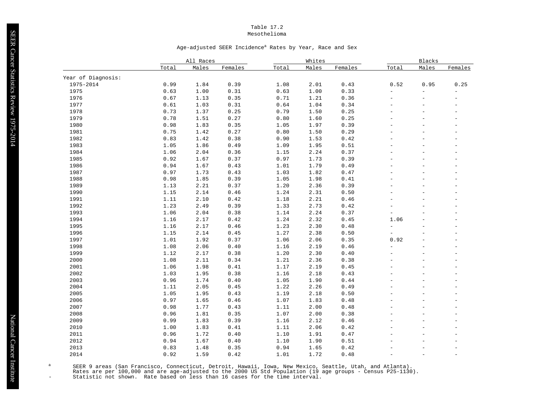#### Table 17.2 Mesothelioma

#### Age-adjusted SEER Incidence<sup>a</sup> Rates by Year, Race and Sex

|                    |       | All Races |         |       | Whites |         |                          | <b>Blacks</b>            |                          |
|--------------------|-------|-----------|---------|-------|--------|---------|--------------------------|--------------------------|--------------------------|
|                    | Total | Males     | Females | Total | Males  | Females | Total                    | Males                    | Females                  |
| Year of Diagnosis: |       |           |         |       |        |         |                          |                          |                          |
| 1975-2014          | 0.99  | 1.84      | 0.39    | 1.08  | 2.01   | 0.43    | 0.52                     | 0.95                     | 0.25                     |
| 1975               | 0.63  | 1.00      | 0.31    | 0.63  | 1.00   | 0.33    | $\overline{\phantom{a}}$ | $\equiv$                 | $\overline{a}$           |
| 1976               | 0.67  | 1.13      | 0.35    | 0.71  | 1.21   | 0.36    | $\equiv$                 | $\overline{a}$           | $\overline{a}$           |
| 1977               | 0.61  | 1.03      | 0.31    | 0.64  | 1.04   | 0.34    | $\equiv$                 | $\overline{\phantom{a}}$ | $\overline{\phantom{a}}$ |
| 1978               | 0.73  | 1.37      | 0.25    | 0.79  | 1.50   | 0.25    | $\equiv$                 | $\overline{a}$           | $\overline{a}$           |
| 1979               | 0.78  | 1.51      | 0.27    | 0.80  | 1.60   | 0.25    | $\overline{a}$           | $\overline{\phantom{a}}$ | $\overline{a}$           |
| 1980               | 0.98  | 1.83      | 0.35    | 1.05  | 1.97   | 0.39    |                          | $\overline{\phantom{a}}$ | $\overline{\phantom{a}}$ |
| 1981               | 0.75  | 1.42      | 0.27    | 0.80  | 1.50   | 0.29    | $\equiv$                 | $\equiv$                 | $\overline{a}$           |
| 1982               | 0.83  | 1.42      | 0.38    | 0.90  | 1.53   | 0.42    | $\overline{a}$           | $\overline{a}$           | $\equiv$                 |
| 1983               | 1.05  | 1.86      | 0.49    | 1.09  | 1.95   | 0.51    |                          | $\overline{a}$           | $\overline{a}$           |
| 1984               | 1.06  | 2.04      | 0.36    | 1.15  | 2.24   | 0.37    | $\overline{\phantom{a}}$ | $\frac{1}{2}$            | $\overline{a}$           |
| 1985               | 0.92  | 1.67      | 0.37    | 0.97  | 1.73   | 0.39    | $\overline{\phantom{a}}$ | $\overline{a}$           | $\equiv$                 |
| 1986               | 0.94  | 1.67      | 0.43    | 1.01  | 1.79   | 0.49    |                          | $\overline{\phantom{a}}$ | $\overline{a}$           |
| 1987               | 0.97  | 1.73      | 0.43    | 1.03  | 1.82   | 0.47    | $\overline{\phantom{a}}$ | $\overline{a}$           | $\overline{a}$           |
| 1988               | 0.98  | 1.85      | 0.39    | 1.05  | 1.98   | 0.41    | $\equiv$                 | $\overline{\phantom{0}}$ | $\overline{a}$           |
| 1989               | 1.13  | 2.21      | 0.37    | 1.20  | 2.36   | 0.39    |                          | $\overline{a}$           | $\overline{a}$           |
| 1990               | 1.15  | 2.14      | 0.46    | 1.24  | 2.31   | 0.50    | $\overline{\phantom{0}}$ | $\overline{a}$           | $\overline{a}$           |
| 1991               | 1.11  | 2.10      | 0.42    | 1.18  | 2.21   | 0.46    | $\equiv$                 | $\overline{\phantom{a}}$ | $\overline{\phantom{a}}$ |
| 1992               | 1.23  | 2.49      | 0.39    | 1.33  | 2.73   | 0.42    |                          | $\equiv$                 | $\equiv$                 |
| 1993               | 1.06  | 2.04      | 0.38    | 1.14  | 2.24   | 0.37    | $\overline{a}$           | $\overline{a}$           | $\equiv$                 |
| 1994               | 1.16  | 2.17      | 0.42    | 1.24  | 2.32   | 0.45    | 1.06                     | $\overline{\phantom{a}}$ | $\overline{\phantom{a}}$ |
| 1995               | 1.16  | 2.17      | 0.46    | 1.23  | 2.30   | 0.48    | $\overline{\phantom{0}}$ | $\equiv$                 | $\overline{a}$           |
| 1996               | 1.15  | 2.14      | 0.45    | 1.27  | 2.38   | 0.50    | $\overline{a}$           | $\overline{\phantom{a}}$ | $\overline{a}$           |
| 1997               | 1.01  | 1.92      | 0.37    | 1.06  | 2.06   | 0.35    | 0.92                     | $\overline{\phantom{a}}$ | $\overline{\phantom{a}}$ |
| 1998               | 1.08  | 2.06      | 0.40    | 1.16  | 2.19   | 0.46    | $\overline{a}$           | $\overline{a}$           | $\overline{a}$           |
| 1999               | 1.12  | 2.17      | 0.38    | 1.20  | 2.30   | 0.40    |                          | $\overline{\phantom{0}}$ | $\overline{a}$           |
| 2000               | 1.08  | 2.11      | 0.34    | 1.21  | 2.36   | 0.38    | $\overline{a}$           | $\equiv$                 | $\overline{a}$           |
| 2001               | 1.06  | 1.98      | 0.41    | 1.17  | 2.19   | 0.45    | $\overline{\phantom{0}}$ | $\overline{\phantom{a}}$ | $\overline{a}$           |
| 2002               | 1.03  | 1.95      | 0.38    | 1.16  | 2.18   | 0.43    |                          | $\overline{\phantom{a}}$ | $\overline{a}$           |
| 2003               | 0.96  | 1.74      | 0.40    | 1.05  | 1.90   | 0.44    |                          | $\overline{\phantom{0}}$ | $\overline{a}$           |
| 2004               | 1.11  | 2.05      | 0.45    | 1.22  | 2.26   | 0.49    | $\overline{a}$           | $\overline{a}$           | $\overline{a}$           |
| 2005               | 1.05  | 1.95      | 0.43    | 1.19  | 2.18   | 0.50    | $\overline{\phantom{a}}$ | $\overline{\phantom{a}}$ | $\overline{\phantom{a}}$ |
| 2006               | 0.97  | 1.65      | 0.46    | 1.07  | 1.83   | 0.48    | $\overline{a}$           | $\overline{a}$           | $\overline{a}$           |
| 2007               | 0.98  | 1.77      | 0.43    | 1.11  | 2.00   | 0.48    |                          | $\overline{\phantom{0}}$ | $\overline{a}$           |
| 2008               | 0.96  | 1.81      | 0.35    | 1.07  | 2.00   | 0.38    |                          | $\overline{\phantom{a}}$ | $\overline{\phantom{0}}$ |
| 2009               | 0.99  | 1.83      | 0.39    | 1.16  | 2.12   | 0.46    |                          | $\equiv$                 | $\overline{a}$           |
| 2010               | 1.00  | 1.83      | 0.41    | 1.11  | 2.06   | 0.42    |                          | $\overline{a}$           | $\overline{a}$           |
| 2011               | 0.96  | 1.72      | 0.40    | 1.10  | 1.91   | 0.47    |                          | $\equiv$                 |                          |
| 2012               | 0.94  | 1.67      | 0.40    | 1.10  | 1.90   | 0.51    |                          | $\equiv$                 | $\overline{a}$           |
| 2013               | 0.83  | 1.48      | 0.35    | 0.94  | 1.65   | 0.42    |                          |                          | $\overline{a}$           |
| 2014               | 0.92  | 1.59      | 0.42    | 1.01  | 1.72   | 0.48    |                          |                          | $\overline{a}$           |

SEER 9 areas (San Francisco, Connecticut, Detroit, Hawaii, Iowa, New Mexico, Seattle, Utah, and Atlanta).<br>Rates are per 100,000 and are age-adjusted to the 2000 US Std Population (19 age groups - Census P25-1130).<br>- Statis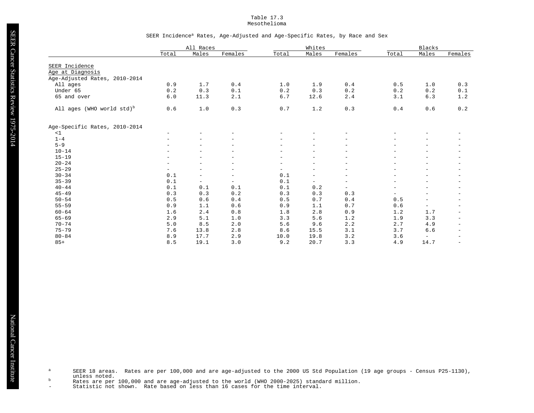#### Table 17.3 Mesothelioma

#### SEER Incidence<sup>a</sup> Rates, Age-Adjusted and Age-Specific Rates, by Race and Sex

|                                       |                          | All Races                |                          |                          | Whites                   |                          |                          | Blacks                   |                          |
|---------------------------------------|--------------------------|--------------------------|--------------------------|--------------------------|--------------------------|--------------------------|--------------------------|--------------------------|--------------------------|
|                                       | Total                    | Males                    | Females                  | Total                    | Males                    | Females                  | Total                    | Males                    | Females                  |
|                                       |                          |                          |                          |                          |                          |                          |                          |                          |                          |
| SEER Incidence                        |                          |                          |                          |                          |                          |                          |                          |                          |                          |
| Age at Diagnosis                      |                          |                          |                          |                          |                          |                          |                          |                          |                          |
| Age-Adjusted Rates, 2010-2014         |                          |                          |                          |                          |                          |                          |                          |                          |                          |
| All ages                              | 0.9                      | 1.7                      | 0.4                      | 1.0                      | 1.9                      | 0.4                      | 0.5                      | 1.0                      | 0.3                      |
| Under 65                              | 0.2                      | 0.3                      | 0.1                      | 0.2                      | 0.3                      | 0.2                      | 0.2                      | 0.2                      | 0.1                      |
| 65 and over                           | 6.0                      | 11.3                     | 2.1                      | 6.7                      | 12.6                     | 2.4                      | 3.1                      | 6.3                      | 1.2                      |
| All ages (WHO world std) <sup>b</sup> | 0.6                      | 1.0                      | 0.3                      | 0.7                      | 1.2                      | 0.3                      | 0.4                      | 0.6                      | 0.2                      |
| Age-Specific Rates, 2010-2014         |                          |                          |                          |                          |                          |                          |                          |                          |                          |
| <1                                    | $\equiv$                 | $\equiv$                 | $\overline{a}$           | $\overline{a}$           |                          | $\overline{\phantom{0}}$ |                          | $\overline{\phantom{m}}$ |                          |
| $1 - 4$                               |                          | $\equiv$                 | $\overline{\phantom{0}}$ |                          |                          |                          |                          |                          | -                        |
| $5 - 9$                               |                          | $\equiv$                 |                          |                          |                          |                          |                          |                          | -                        |
| $10 - 14$                             |                          | $\overline{a}$           |                          |                          | $\overline{\phantom{m}}$ |                          |                          |                          | -                        |
| $15 - 19$                             |                          | $\overline{\phantom{a}}$ | $\overline{\phantom{0}}$ | $\overline{a}$           | $\overline{\phantom{a}}$ | $\overline{\phantom{0}}$ | $\overline{\phantom{0}}$ |                          | -                        |
| $20 - 24$                             | $\overline{\phantom{0}}$ | $\overline{\phantom{0}}$ | $\overline{\phantom{0}}$ | $\overline{a}$           | $\overline{\phantom{m}}$ | $\overline{\phantom{0}}$ | $\overline{\phantom{0}}$ | $\overline{\phantom{m}}$ | $\qquad \qquad -$        |
| $25 - 29$                             | $\overline{\phantom{a}}$ | $\overline{\phantom{0}}$ | $\overline{\phantom{0}}$ | $\overline{\phantom{a}}$ | $\overline{\phantom{a}}$ | $\overline{\phantom{a}}$ |                          | $\equiv$                 | -                        |
| $30 - 34$                             | 0.1                      | $\overline{\phantom{a}}$ | $\qquad \qquad -$        | 0.1                      | $\overline{\phantom{m}}$ | $\overline{\phantom{a}}$ |                          |                          | -                        |
| $35 - 39$                             | 0.1                      | $\overline{\phantom{a}}$ | $\qquad \qquad -$        | 0.1                      | $\overline{\phantom{0}}$ | $\overline{\phantom{a}}$ | $\overline{\phantom{0}}$ | $\overline{\phantom{m}}$ | -                        |
| $40 - 44$                             | 0.1                      | 0.1                      | 0.1                      | 0.1                      | 0.2                      | $\overline{\phantom{0}}$ | $\overline{\phantom{0}}$ | $\overline{\phantom{m}}$ | -                        |
| $45 - 49$                             | 0.3                      | 0.3                      | 0.2                      | 0.3                      | 0.3                      | 0.3                      | $\overline{\phantom{0}}$ | $\overline{\phantom{a}}$ | $\overline{\phantom{a}}$ |
| $50 - 54$                             | 0.5                      | 0.6                      | 0.4                      | 0.5                      | 0.7                      | 0.4                      | 0.5                      | $\overline{\phantom{a}}$ | $\overline{\phantom{m}}$ |
| $55 - 59$                             | 0.9                      | 1.1                      | 0.6                      | 0.9                      | 1.1                      | 0.7                      | 0.6                      | $\overline{\phantom{a}}$ | $\overline{\phantom{a}}$ |
| $60 - 64$                             | 1.6                      | 2.4                      | $0.8$                    | 1.8                      | 2.8                      | 0.9                      | 1.2                      | 1.7                      | $\overline{\phantom{0}}$ |
| $65 - 69$                             | 2.9                      | 5.1                      | 1.0                      | 3.3                      | 5.6                      | 1.2                      | 1.9                      | 3.3                      | $\overline{\phantom{a}}$ |
| $70 - 74$                             | 5.0                      | 8.5                      | 2.0                      | 5.6                      | 9.6                      | 2.2                      | 2.7                      | 4.9                      | $\overline{\phantom{0}}$ |
| $75 - 79$                             | 7.6                      | 13.8                     | 2.8                      | 8.6                      | 15.5                     | 3.1                      | 3.7                      | $6.6$                    | $\overline{\phantom{0}}$ |
| $80 - 84$                             | 8.9                      | 17.7                     | 2.9                      | 10.0                     | 19.8                     | 3.2                      | 3.6                      | $\overline{\phantom{a}}$ | $\qquad \qquad -$        |
| $85+$                                 | 8.5                      | 19.1                     | 3.0                      | 9.2                      | 20.7                     | 3.3                      | 4.9                      | 14.7                     | $\overline{\phantom{m}}$ |

a SEER 18 areas. Rates are per 100,000 and are age-adjusted to the 2000 US Std Population (19 age groups - Census P25-1130),<br>unless noted.

b Rates are per 100,000 and are age-adjusted to the world (WHO 2000-2025) standard million.<br>- Statistic not shown. Rate based on less than 16 cases for the time interval.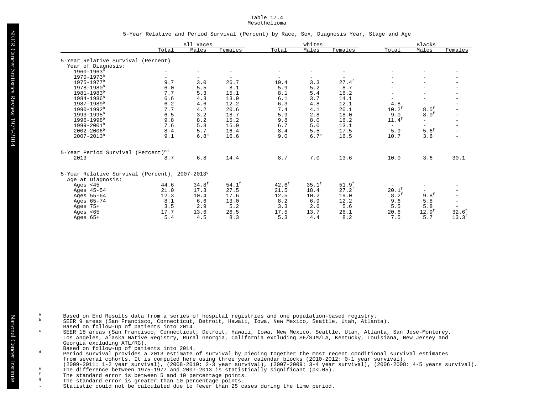#### Table 17.4 Mesothelioma

#### 5-Year Relative and Period Survival (Percent) by Race, Sex, Diagnosis Year, Stage and Age

|                                                            |         | All Races                |                   |                          | Whites            |                          |                          | Blacks                   |                          |
|------------------------------------------------------------|---------|--------------------------|-------------------|--------------------------|-------------------|--------------------------|--------------------------|--------------------------|--------------------------|
|                                                            | Total   | Males                    | Females           | Total                    | Males             | Females                  | Total                    | Males                    | Females                  |
| 5-Year Relative Survival (Percent)                         |         |                          |                   |                          |                   |                          |                          |                          |                          |
| Year of Diagnosis:                                         |         |                          |                   |                          |                   |                          |                          |                          |                          |
| $1960 - 1963^a$                                            |         | $\overline{\phantom{0}}$ | $\qquad \qquad -$ | $\overline{\phantom{0}}$ |                   | $\overline{\phantom{a}}$ | $\qquad \qquad -$        |                          |                          |
| $1970 - 1973^a$                                            |         | $\overline{\phantom{0}}$ |                   |                          |                   |                          |                          |                          |                          |
| $1975 - 1977$ <sup>b</sup>                                 | 9.7     | 3.0                      | 26.7              | 10.4                     | 3.3               | $27.4^{\text{f}}$        |                          |                          |                          |
| 1978-1980 <sup>b</sup>                                     | $6.0$   | 5.5                      | 8.1               | 5.9                      | 5.2               | 8.7                      |                          | Ξ.                       |                          |
| $1981 - 1983^b$                                            | 7.7     | 5.3                      | 15.1              | 8.1                      | 5.4               | 16.2                     |                          |                          |                          |
| 1984-1986 <sup>b</sup>                                     | 6.6     | 4.3                      | 13.9              | 6.1                      | 3.7               | 14.1                     | $\sim$                   | $-$                      | $\qquad \qquad -$        |
| $1987 - 1989^b$                                            | $6.2$   | 4.6                      | 12.2              | 6.3                      | 4.8               | 12.1                     | 4.8                      | Ξ.                       |                          |
| $1990 - 1992^b$                                            | $7\,.7$ | 4.2                      | 20.6              | 7.4                      | 4.1               | 20.1                     | $10.2^{\text{f}}$        | $8.5^{\text{f}}$         |                          |
| $1993 - 1995^b$                                            | 6.5     | 3.2                      | 18.7              | 5.9                      | 2.8               | 18.0                     | 9.0                      | 8.0 <sup>f</sup>         |                          |
| $1996 - 1998$ <sup>b</sup>                                 | 9.8     | 8.2                      | 15.2              | 9.8                      | 8.0               | 16.2                     | $11.4^f$                 | $\overline{\phantom{0}}$ | $\overline{\phantom{m}}$ |
| $1999 - 2001^b$                                            | 7.6     | 5.3                      | 15.9              | 6.7                      | 5.0               | 13.1                     | $\overline{\phantom{0}}$ | $\overline{\phantom{0}}$ |                          |
| $2002 - 2006^{\rm b}$                                      | 8.4     | 5.7                      | 16.4              | 8.4                      | 5.5               | 17.5                     | 5.9                      | 5.6 <sup>f</sup>         |                          |
| $2007 - 2013^b$                                            | 9.1     | 6.8 <sup>e</sup>         | 16.6              | 9.0                      | 6.7 <sup>e</sup>  | 16.5                     | 10.7                     | 3.8                      |                          |
| 5-Year Period Survival (Percent) <sup>cd</sup>             |         |                          |                   |                          |                   |                          |                          |                          |                          |
| 2013                                                       | 8.7     | 6.8                      | 14.4              | 8.7                      | 7.0               | 13.6                     | 10.0                     | 3.6                      | 30.1                     |
|                                                            |         |                          |                   |                          |                   |                          |                          |                          |                          |
| 5-Year Relative Survival (Percent), 2007-2013 <sup>c</sup> |         |                          |                   |                          |                   |                          |                          |                          |                          |
| Age at Diagnosis:                                          |         |                          |                   |                          |                   |                          |                          |                          |                          |
| Ages $<$ 45                                                | 44.6    | 34.8 <sup>f</sup>        | $54.1^{\text{f}}$ | $42.6^{\text{f}}$        | $35.1^{\text{f}}$ | 51.9 <sup>f</sup>        |                          | $\qquad \qquad -$        |                          |
| Ages 45-54                                                 | 21.0    | 17.3                     | 27.5              | 21.5                     | 18.4              | $27.2^{\text{f}}$        | $20.1^{\text{f}}$        | $\overline{\phantom{0}}$ |                          |
| Ages 55-64                                                 | 12.3    | 10.4                     | 17.6              | 12.5                     | 10.2              | 19.0                     | $8.2^f$                  | 9.8 <sup>f</sup>         |                          |
| Ages 65-74                                                 | 8.1     | 6.6                      | 13.0              | 8.2                      | 6.9               | 12.2                     | 9.6                      | $5.8$                    | $\overline{\phantom{m}}$ |
| Ages $75+$                                                 | 3.5     | 2.9                      | 5.2               | 3.3                      | 2.6               | 5.6                      | 5.5                      | 5.8                      | $\overline{\phantom{m}}$ |
| Ages $< 65$                                                | 17.7    | 13.6                     | 26.5              | 17.5                     | 13.7              | 26.1                     | 20.6                     | 12.9 <sup>f</sup>        | 32.6 <sup>f</sup>        |
| Ages $65+$                                                 | 5.4     | 4.5                      | 8.3               | 5.3                      | 4.4               | 8.2                      | 7.5                      | 5.7                      | $13.3^f$                 |

- a<br>Based on End Results data from a series of hospital registries and one population-based registry. <sup>b</sup> SEER 9 areas (San Francisco, Connecticut, Detroit, Hawaii, Iowa, New Mexico, Seattle, Utah, Atlanta).
	- Based on follow-up of patients into 2014.
- <sup>c</sup> SEER 18 areas (San Francisco, Connecticut, Detroit, Hawaii, Iowa, New Mexico, Seattle, Utah, Atlanta, San Jose-Monterey, Los Angeles, Alaska Native Registry, Rural Georgia, California excluding SF/SJM/LA, Kentucky, Louisiana, New Jersey and Georgia excluding ATL/RG).
	- Based on follow-up of patients into 2014.
- <sup>d</sup> Period survival provides a 2013 estimate of survival by piecing together the most recent conditional survival estimates from several cohorts. It is computed here using three year calendar blocks (2010-2012: 0-1 year survival), (2009-2011: 1-2 year survival), (2008-2010: 2-3 year survival), (2007-2009: 3-4 year survival), (2006-2008: 4-5 years survival).
- e The difference between 1975-1977 and 2007-2013 is statistically significant (p<.05).<br>The standard exports between 5 and 10 percentage points
- $\frac{f}{g}$  The standard error is between 5 and 10 percentage points.
	- The standard error is greater than 10 percentage points.
- Statistic could not be calculated due to fewer than 25 cases during the time period.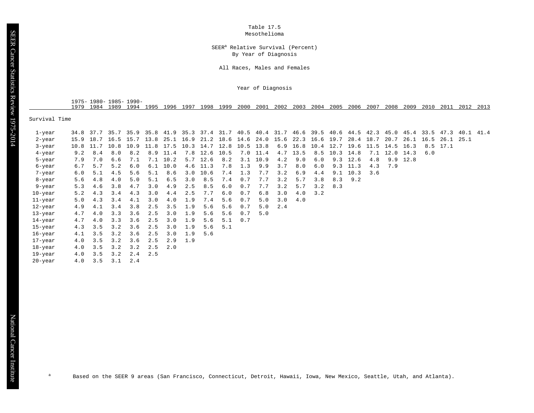Table 17.5 Mesothelioma

#### SEER<sup>a</sup> Relative Survival (Percent) By Year of Diagnosis

All Races, Males and Females

Year of Diagnosis

| 1975- | $1980 -$ | $1985 -$ | 1990- |      |      |     |      |      |      |      |      |      |      |      |      |      |      |      |      |     |      |      |
|-------|----------|----------|-------|------|------|-----|------|------|------|------|------|------|------|------|------|------|------|------|------|-----|------|------|
| 1979  |          | `989     | 994 ' | 1995 | '996 | 997 | '998 | 1999 | 2000 | 2001 | 2002 | 2003 | 2004 | 2005 | 2006 | 2007 | 2008 | 2009 | 2010 | 201 | 2012 | 2013 |

Survival Time

SEER Cancer Statistics Review 1975-2014

SEER Cancer Statistics Review 1975-2014

| 1-year     | 34.8 | 37.7 |      |      |           |      |     |               |                          |     |          |     |      |     | 35.7 35.9 35.8 41.9 35.3 37.4 31.7 40.5 40.4 31.7 46.6 39.5 40.6 44.5 42.3 45.0 45.4 33.5 47.3 40.1 41.4 |                  |      |      |           |     |           |  |
|------------|------|------|------|------|-----------|------|-----|---------------|--------------------------|-----|----------|-----|------|-----|----------------------------------------------------------------------------------------------------------|------------------|------|------|-----------|-----|-----------|--|
| 2-year     |      |      |      |      |           |      |     |               |                          |     |          |     |      |     | 15.9 18.7 16.5 15.7 13.8 25.1 16.9 21.2 18.6 14.6 24.0 15.6 22.3 16.6 19.7 28.4 18.7 20.7                |                  |      |      | 26.1 16.5 |     | 26.1 25.1 |  |
| 3-year     | 10.8 | 11.7 | 10.8 | 10.9 | 11.8 17.5 |      |     |               | 10.3 14.7 12.8 10.5 13.8 |     |          | 6.9 |      |     | 16.8 10.4 12.7 19.6                                                                                      |                  | 11.5 | 14.5 | 16.3      | 8.5 | 17.1      |  |
| 4-year     | 9.2  | 8.4  | 8.0  | 8.2  | 8.9       | 11.4 |     | 7.8 12.6 10.5 |                          |     | 7.0 11.4 | 4.7 | 13.5 | 8.5 | 10.3                                                                                                     | 14.8             | 7.1  | 12.0 | 14.3      | 6.0 |           |  |
| 5-year     | 7.9  | 7.0  | 6.6  | 7.1  | 7.1       | 10.2 |     | $5.7$ 12.6    | 8.2                      | 3.1 | 10.9     | 4.2 | 9.0  | 6.0 | 9.3                                                                                                      | 12.6             | 4.8  |      | 9.9 12.8  |     |           |  |
| 6-year     | 6.7  | 5.7  | 5.2  | 6.0  | 6.1       | 10.0 |     | 4.6 11.3      | 7.8                      | 1.3 | 9.9      | 3.7 | 8.0  | 6.0 |                                                                                                          | $9.3$ 11.3       | 4.3  | 7.9  |           |     |           |  |
| 7-year     | 6.0  | 5.1  | 4.5  | 5.6  | 5.1       | 8.6  |     | $3.0$ 10.6    | 7.4                      | 1.3 | 7.7      | 3.2 | 6.9  | 4.4 |                                                                                                          | $9.1 \quad 10.3$ | 3.6  |      |           |     |           |  |
| 8-year     | 5.6  | 4.8  | 4.0  | 5.0  | 5.1       | 6.5  | 3.0 | 8.5           | 7.4                      | 0.7 | 7.7      | 3.2 | 5.7  | 3.8 |                                                                                                          | $8.3$ $9.2$      |      |      |           |     |           |  |
| 9-year     | 5.3  | 4.6  | 3.8  | 4.7  | 3.0       | 4.9  | 2.5 | 8.5           | 6.0                      | 0.7 | 7.7      | 3.2 | 5.7  | 3.2 | 8.3                                                                                                      |                  |      |      |           |     |           |  |
| 10-year    | 5.2  | 4.3  | 3.4  | 4.3  | 3.0       | 4.4  | 2.5 | 7.7           | 6.0                      | 0.7 | 6.8      | 3.0 | 4.0  | 3.2 |                                                                                                          |                  |      |      |           |     |           |  |
| $11$ -year | 5.0  | 4.3  | 3.4  | 4.1  | 3.0       | 4.0  | 1.9 | 7.4           | 5.6                      | 0.7 | 5.0      | 3.0 | 4.0  |     |                                                                                                          |                  |      |      |           |     |           |  |
| 12-year    | 4.9  | 4.1  | 3.4  | 3.8  | 2.5       | 3.5  | 1.9 | 5.6           | 5.6                      | 0.7 | 5.0      | 2.4 |      |     |                                                                                                          |                  |      |      |           |     |           |  |
| 13-year    | 4.7  | 4.0  | 3.3  | 3.6  | 2.5       | 3.0  | 1.9 | 5.6           | 5.6                      | 0.7 | 5.0      |     |      |     |                                                                                                          |                  |      |      |           |     |           |  |
| 14-year    | 4.7  | 4.0  | 3.3  | 3.6  | 2.5       | 3.0  | 1.9 | 5.6           | 5.1                      | 0.7 |          |     |      |     |                                                                                                          |                  |      |      |           |     |           |  |
| 15-year    | 4.3  | 3.5  | 3.2  | 3.6  | 2.5       | 3.0  | 1.9 | 5.6           | 5.1                      |     |          |     |      |     |                                                                                                          |                  |      |      |           |     |           |  |
| 16-year    | 4.1  | 3.5  | 3.2  | 3.6  | 2.5       | 3.0  | 1.9 | 5.6           |                          |     |          |     |      |     |                                                                                                          |                  |      |      |           |     |           |  |
| 17-year    | 4.0  | 3.5  | 3.2  | 3.6  | 2.5       | 2.9  | 1.9 |               |                          |     |          |     |      |     |                                                                                                          |                  |      |      |           |     |           |  |
| 18-year    | 4.0  | 3.5  | 3.2  | 3.2  | 2.5       | 2.0  |     |               |                          |     |          |     |      |     |                                                                                                          |                  |      |      |           |     |           |  |
| 19-year    | 4.0  | 3.5  | 3.2  | 2.4  | 2.5       |      |     |               |                          |     |          |     |      |     |                                                                                                          |                  |      |      |           |     |           |  |
| 20-year    | 4.0  | 3.5  | 3.1  | 2.4  |           |      |     |               |                          |     |          |     |      |     |                                                                                                          |                  |      |      |           |     |           |  |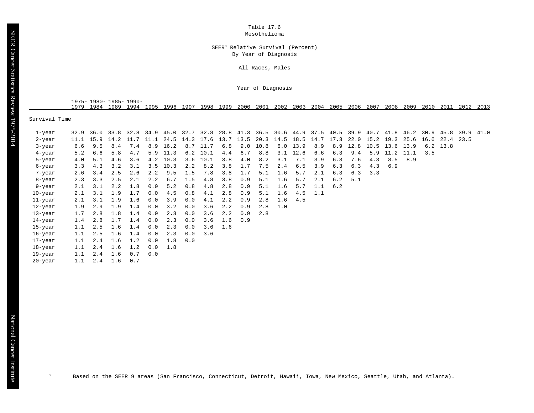Table 17.6 Mesothelioma

#### SEER<sup>a</sup> Relative Survival (Percent) By Year of Diagnosis

All Races, Males

Year of Diagnosis

| $1975 -$ | 1985-<br>1980- | $1990 -$ |    |      |     |      |      |      |      |      |      |      |      |      |      |      |      |      |     |      |      |
|----------|----------------|----------|----|------|-----|------|------|------|------|------|------|------|------|------|------|------|------|------|-----|------|------|
| 1979     | 1989<br>984    | $QQ_4$   | QQ | 1996 | QQ7 | 1998 | 1999 | 2000 | 2001 | 2002 | 2003 | 2004 | 2005 | 2006 | 2007 | 2008 | 2009 | 2010 | 201 | 2012 | 2013 |

Survival Time

| 1-year  |     |     |     |     |     |            |     |            |     |     |      |     |            |     |     |      |      | 32.9 36.0 33.8 32.8 34.9 45.0 32.7 32.8 28.8 41.3 36.5 30.6 44.9 37.5 40.5 39.9 40.7 41.8 46.2 30.9 45.8 39.9 41.0 |      |     |                |  |
|---------|-----|-----|-----|-----|-----|------------|-----|------------|-----|-----|------|-----|------------|-----|-----|------|------|--------------------------------------------------------------------------------------------------------------------|------|-----|----------------|--|
| 2-year  |     |     |     |     |     |            |     |            |     |     |      |     |            |     |     |      |      | 11.1 15.9 14.2 11.7 11.1 24.5 14.3 17.6 13.7 13.5 20.3 14.5 18.5 14.7 17.3 22.0 15.2 19.3                          | 25.6 |     | 16.0 22.4 23.5 |  |
| 3-year  | 6.6 | 9.5 | 8.4 | 7.4 | 8.9 | 16.2       |     | 8.7 11.7   | 6.8 | 9.0 | 10.8 |     | $6.0$ 13.9 | 8.9 | 8.9 | 12.8 | 10.5 | 13.6                                                                                                               | 13.9 |     | $6.2$ 13.8     |  |
| 4-year  | 5.2 | 6.6 | 5.8 | 4.7 | 5.9 | 11.3       |     | $6.2$ 10.1 | 4.4 | 6.7 | 8.8  | 3.1 | 12.6       | 6.6 | 6.3 | 9.4  | 5.9  | 11.2                                                                                                               | 11.1 | 3.5 |                |  |
| 5-year  | 4.0 | 5.1 | 4.6 | 3.6 |     | $4.2$ 10.3 |     | $3.6$ 10.1 | 3.8 | 4.0 | 8.2  | 3.1 | 7.1        | 3.9 | 6.3 | 7.6  | 4.3  | 8.5                                                                                                                | 8.9  |     |                |  |
| 6-year  | 3.3 | 4.3 | 3.2 | 3.1 | 3.5 | 10.3       | 2.2 | 8.2        | 3.8 | 1.7 | 7.5  | 2.4 | 6.5        | 3.9 | 6.3 | 6.3  | 4.3  | 6.9                                                                                                                |      |     |                |  |
| 7-year  | 2.6 | 3.4 | 2.5 | 2.6 | 2.2 | 9.5        | 1.5 | 7.8        | 3.8 | 1.7 | 5.1  | 1.6 | 5.7        | 2.1 | 6.3 | 6.3  | 3.3  |                                                                                                                    |      |     |                |  |
| 8-year  | 2.3 | 3.3 | 2.5 | 2.1 | 2.2 | 6.7        | 1.5 | 4.8        | 3.8 | 0.9 | 5.1  | 1.6 | 5.7        | 2.1 | 6.2 | 5.1  |      |                                                                                                                    |      |     |                |  |
| 9-year  | 2.1 | 3.1 | 2.2 | 1.8 | 0.0 | 5.2        | 0.8 | 4.8        | 2.8 | 0.9 | 5.1  | 1.6 | 5.7        | 1.1 | 6.2 |      |      |                                                                                                                    |      |     |                |  |
| 10-year | 2.1 | 3.1 | 1.9 | 1.7 | 0.0 | 4.5        | 0.8 | 4.1        | 2.8 | 0.9 | 5.1  | 1.6 | 4.5        | 1.1 |     |      |      |                                                                                                                    |      |     |                |  |
| 11-year | 2.1 | 3.1 | 1.9 | 1.6 | 0.0 | 3.9        | 0.0 | 4.1        | 2.2 | 0.9 | 2.8  | 1.6 | 4.5        |     |     |      |      |                                                                                                                    |      |     |                |  |
| 12-year | 1.9 | 2.9 | 1.9 | 1.4 | 0.0 | 3.2        | 0.0 | 3.6        | 2.2 | 0.9 | 2.8  | 1.0 |            |     |     |      |      |                                                                                                                    |      |     |                |  |
| 13-year | 1.7 | 2.8 | 1.8 | 1.4 | 0.0 | 2.3        | 0.0 | 3.6        | 2.2 | 0.9 | 2.8  |     |            |     |     |      |      |                                                                                                                    |      |     |                |  |
| 14-year | 1.4 | 2.8 | 1.7 | 1.4 | 0.0 | 2.3        | 0.0 | 3.6        | 1.6 | 0.9 |      |     |            |     |     |      |      |                                                                                                                    |      |     |                |  |
| 15-year | 1.1 | 2.5 | 1.6 | 1.4 | 0.0 | 2.3        | 0.0 | 3.6        | 1.6 |     |      |     |            |     |     |      |      |                                                                                                                    |      |     |                |  |
| 16-year | 1.1 | 2.5 | 1.6 | 1.4 | 0.0 | 2.3        | 0.0 | 3.6        |     |     |      |     |            |     |     |      |      |                                                                                                                    |      |     |                |  |
| 17-year | 1.1 | 2.4 | 1.6 | 1.2 | 0.0 | 1.8        | 0.0 |            |     |     |      |     |            |     |     |      |      |                                                                                                                    |      |     |                |  |
| 18-year | 1.1 | 2.4 | 1.6 | 1.2 | 0.0 | 1.8        |     |            |     |     |      |     |            |     |     |      |      |                                                                                                                    |      |     |                |  |
| 19-year | 1.1 | 2.4 | 1.6 | 0.7 | 0.0 |            |     |            |     |     |      |     |            |     |     |      |      |                                                                                                                    |      |     |                |  |
| 20-year | 1.1 | 2.4 | 1.6 | 0.7 |     |            |     |            |     |     |      |     |            |     |     |      |      |                                                                                                                    |      |     |                |  |

<sup>a</sup> Based on the SEER 9 areas (San Francisco, Connecticut, Detroit, Hawaii, Iowa, New Mexico, Seattle, Utah, and Atlanta).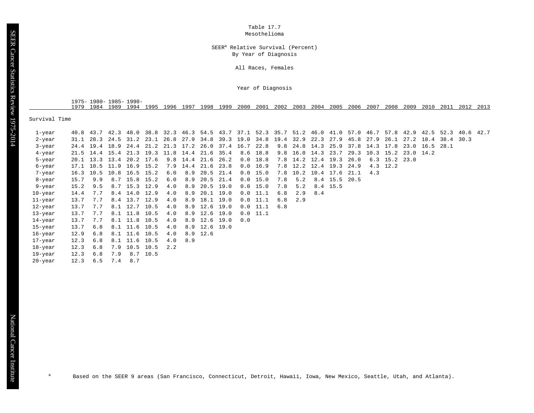Table 17.7 Mesothelioma

#### SEER<sup>a</sup> Relative Survival (Percent) By Year of Diagnosis

All Races, Females

Year of Diagnosis

1975- 1980- 1985- 1990- 1979 1984 1989 1994 1995 1996 1997 1998 1999 2000 2001 2002 2003 2004 2005 2006 2007 2008 2009 2010 2011 2012 2013

Survival Time

| 1-year     | 40.8 | 43.7                     |      |                |                                                                                           |     |                                    |               |             |     |            |     |                    |     |                         |      |                | 42.3 48.0 38.8 32.3 46.3 54.5 43.7 37.1 52.3 35.7 51.2 46.0 41.0 57.0 46.7 57.8 42.9 42.5 52.3 40.6 42.7 |           |                |           |  |
|------------|------|--------------------------|------|----------------|-------------------------------------------------------------------------------------------|-----|------------------------------------|---------------|-------------|-----|------------|-----|--------------------|-----|-------------------------|------|----------------|----------------------------------------------------------------------------------------------------------|-----------|----------------|-----------|--|
| 2-year     |      |                          |      |                | 31.1 28.3 24.5 31.2 23.1 26.8 27.9 34.8 39.3 19.0 34.8 19.4 32.9 22.3 27.9 45.8 27.9 26.1 |     |                                    |               |             |     |            |     |                    |     |                         |      |                |                                                                                                          | 27.2 18.4 |                | 38.4 30.3 |  |
| 3-year     | 24.4 | 19.4                     | 18.9 | 24.4           |                                                                                           |     | 21.2 21.3 17.2 26.0 37.4 16.7 22.8 |               |             |     |            |     | 9.8 24.8 14.3      |     | 25.9                    |      | 37.8 14.3 17.8 |                                                                                                          |           | 23.0 16.5 28.1 |           |  |
| 4-year     | 21.5 | 14.4                     | 15.4 | 21.3           | 19.3 11.8 14.4 21.6 35.4                                                                  |     |                                    |               |             |     | $8.6$ 18.8 |     | 9.8 16.0 14.3      |     | 23.7                    | 29.3 |                | 10.3 15.2 23.0 14.2                                                                                      |           |                |           |  |
| 5-year     |      | $20.1$ 13.3              | 13.4 | 20.2 17.6      |                                                                                           |     | 9.8 14.4 21.6 26.2                 |               |             |     | 0.0 18.8   |     | 7.8 14.2 12.4 19.3 |     |                         | 26.0 |                | $6.3$ 15.2 23.0                                                                                          |           |                |           |  |
| 6-year     |      | 17.1 10.5 11.9 16.9 15.2 |      |                |                                                                                           |     | 7.9 14.4 21.6 23.8                 |               |             |     | 0.0 16.9   |     |                    |     | 7.8 12.2 12.4 19.3      | 24.9 |                | 4.3 12.2                                                                                                 |           |                |           |  |
| 7-year     |      | $16.3$ 10.5              |      | 10.8 16.5 15.2 |                                                                                           | 6.0 |                                    | 8.9 20.5 21.4 |             |     | $0.0$ 15.0 |     |                    |     | 7.8 10.2 10.4 17.6 21.1 |      | 4.3            |                                                                                                          |           |                |           |  |
| 8-year     | 15.7 | 9.9                      |      | 8.7 15.8 15.2  |                                                                                           | 6.0 | 8.9                                | 20.5 21.4     |             |     | $0.0$ 15.0 | 7.8 | 5.2                |     | 8.4 15.5 20.5           |      |                |                                                                                                          |           |                |           |  |
| 9-year     | 15.2 | 9.5                      |      | 8.7 15.3 12.9  |                                                                                           | 4.0 | 8.9                                | 20.5 19.0     |             |     | $0.0$ 15.0 | 7.8 | 5.2                |     | 8.4 15.5                |      |                |                                                                                                          |           |                |           |  |
| 10-year    | 14.4 | 7.7                      | 8.4  | 14.0           | 12.9                                                                                      | 4.0 | 8.9                                |               | $20.1$ 19.0 |     | $0.0$ 11.1 | 6.8 | 2.9                | 8.4 |                         |      |                |                                                                                                          |           |                |           |  |
| $11$ -year | 13.7 | 7.7                      | 8.4  | 13.7           | 12.9                                                                                      | 4.0 | 8.9                                | 18.1          | 19.0        |     | $0.0$ 11.1 | 6.8 | 2.9                |     |                         |      |                |                                                                                                          |           |                |           |  |
| 12-year    | 13.7 | 7.7                      |      | 8.1 12.7 10.5  |                                                                                           | 4.0 | 8.9                                | 12.6 19.0     |             |     | $0.0$ 11.1 | 6.8 |                    |     |                         |      |                |                                                                                                          |           |                |           |  |
| 13-year    | 13.7 | 7.7                      |      | 8.1 11.8 10.5  |                                                                                           | 4.0 | 8.9                                | 12.6 19.0     |             |     | $0.0$ 11.1 |     |                    |     |                         |      |                |                                                                                                          |           |                |           |  |
| 14-year    | 13.7 | 7.7                      |      | 8.1 11.8 10.5  |                                                                                           | 4.0 | 8.9                                | 12.6 19.0     |             | 0.0 |            |     |                    |     |                         |      |                |                                                                                                          |           |                |           |  |
| 15-year    | 13.7 | 6.8                      |      | 8.1 11.6 10.5  |                                                                                           | 4.0 |                                    | 8.9 12.6 19.0 |             |     |            |     |                    |     |                         |      |                |                                                                                                          |           |                |           |  |
| 16-year    | 12.9 | 6.8                      |      | 8.1 11.6 10.5  |                                                                                           | 4.0 |                                    | $8.9$ 12.6    |             |     |            |     |                    |     |                         |      |                |                                                                                                          |           |                |           |  |
| 17-year    | 12.3 | 6.8                      |      | 8.1 11.6 10.5  |                                                                                           | 4.0 | 8.9                                |               |             |     |            |     |                    |     |                         |      |                |                                                                                                          |           |                |           |  |
| 18-year    | 12.3 | 6.8                      | 7.9  | 10.5 10.5      |                                                                                           | 2.2 |                                    |               |             |     |            |     |                    |     |                         |      |                |                                                                                                          |           |                |           |  |
| 19-year    | 12.3 | 6.8                      | 7.9  |                | 8.7 10.5                                                                                  |     |                                    |               |             |     |            |     |                    |     |                         |      |                |                                                                                                          |           |                |           |  |
| 20-year    | 12.3 | 6.5                      | 7.4  | 8.7            |                                                                                           |     |                                    |               |             |     |            |     |                    |     |                         |      |                |                                                                                                          |           |                |           |  |
|            |      |                          |      |                |                                                                                           |     |                                    |               |             |     |            |     |                    |     |                         |      |                |                                                                                                          |           |                |           |  |

<sup>a</sup> Based on the SEER 9 areas (San Francisco, Connecticut, Detroit, Hawaii, Iowa, New Mexico, Seattle, Utah, and Atlanta).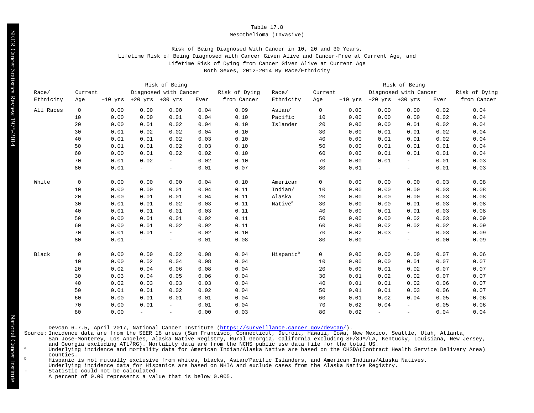#### Mesothelioma (Invasive)

# Risk of Being Diagnosed With Cancer in 10, 20 and 30 Years, Lifetime Risk of Being Diagnosed with Cancer Given Alive and Cancer-Free at Current Age, and Lifetime Risk of Dying from Cancer Given Alive at Current Age Both Sexes, 2012-2014 By Race/Ethnicity

|           |             |      |                               | Risk of Being            |      |               |                       |              |      |                               | Risk of Being            |      |               |
|-----------|-------------|------|-------------------------------|--------------------------|------|---------------|-----------------------|--------------|------|-------------------------------|--------------------------|------|---------------|
| Race/     | Current     |      |                               | Diagnosed with Cancer    |      | Risk of Dying | Race/                 | Current      |      |                               | Diagnosed with Cancer    |      | Risk of Dying |
| Ethnicity | Age         |      | $+10$ yrs $+20$ yrs $+30$ yrs |                          | Ever | from Cancer   | Ethnicity             | Age          |      | $+10$ yrs $+20$ yrs $+30$ yrs |                          | Ever | from Cancer   |
| All Races | $\mathbf 0$ | 0.00 | 0.00                          | 0.00                     | 0.04 | 0.09          | Asian/                | $\mathbf 0$  | 0.00 | 0.00                          | 0.00                     | 0.02 | 0.04          |
|           | 10          | 0.00 | 0.00                          | 0.01                     | 0.04 | 0.10          | Pacific               | 10           | 0.00 | 0.00                          | 0.00                     | 0.02 | 0.04          |
|           | 20          | 0.00 | 0.01                          | 0.02                     | 0.04 | 0.10          | Islander              | 20           | 0.00 | 0.00                          | 0.01                     | 0.02 | 0.04          |
|           | 30          | 0.01 | 0.02                          | 0.02                     | 0.04 | 0.10          |                       | 30           | 0.00 | 0.01                          | 0.01                     | 0.02 | 0.04          |
|           | 40          | 0.01 | 0.01                          | 0.02                     | 0.03 | 0.10          |                       | 40           | 0.00 | 0.01                          | 0.01                     | 0.02 | 0.04          |
|           | 50          | 0.01 | 0.01                          | 0.02                     | 0.03 | 0.10          |                       | 50           | 0.00 | 0.01                          | 0.01                     | 0.01 | 0.04          |
|           | 60          | 0.00 | 0.01                          | 0.02                     | 0.02 | 0.10          |                       | 60           | 0.00 | 0.01                          | 0.01                     | 0.01 | 0.04          |
|           | 70          | 0.01 | 0.02                          | $ \,$                    | 0.02 | 0.10          |                       | 70           | 0.00 | 0.01                          | $\equiv$                 | 0.01 | 0.03          |
|           | 80          | 0.01 | $\equiv$                      | $-$                      | 0.01 | 0.07          |                       | 80           | 0.01 | $\overline{\phantom{a}}$      | $\equiv$                 | 0.01 | 0.03          |
| White     | $\mathbf 0$ | 0.00 | 0.00                          | 0.00                     | 0.04 | 0.10          | American              | $\mathsf{O}$ | 0.00 | 0.00                          | 0.00                     | 0.03 | 0.08          |
|           | 10          | 0.00 | 0.00                          | 0.01                     | 0.04 | 0.11          | Indian/               | 10           | 0.00 | 0.00                          | 0.00                     | 0.03 | 0.08          |
|           | 20          | 0.00 | 0.01                          | 0.01                     | 0.04 | 0.11          | Alaska                | 20           | 0.00 | 0.00                          | 0.00                     | 0.03 | 0.08          |
|           | 30          | 0.01 | 0.01                          | 0.02                     | 0.03 | 0.11          | Native <sup>a</sup>   | 30           | 0.00 | 0.00                          | 0.01                     | 0.03 | 0.08          |
|           | 40          | 0.01 | 0.01                          | 0.01                     | 0.03 | 0.11          |                       | 40           | 0.00 | 0.01                          | 0.01                     | 0.03 | 0.08          |
|           | 50          | 0.00 | 0.01                          | 0.01                     | 0.02 | 0.11          |                       | 50           | 0.00 | 0.00                          | 0.02                     | 0.03 | 0.09          |
|           | 60          | 0.00 | 0.01                          | 0.02                     | 0.02 | 0.11          |                       | 60           | 0.00 | 0.02                          | 0.02                     | 0.02 | 0.09          |
|           | 70          | 0.01 | 0.01                          | $\overline{\phantom{0}}$ | 0.02 | 0.10          |                       | 70           | 0.02 | 0.03                          | $\equiv$                 | 0.03 | 0.09          |
|           | 80          | 0.01 | $\overline{\phantom{a}}$      | $\equiv$                 | 0.01 | 0.08          |                       | 80           | 0.00 |                               | $\equiv$                 | 0.00 | 0.09          |
| Black     | $\mathbf 0$ | 0.00 | 0.00                          | 0.02                     | 0.08 | 0.04          | Hispanic <sup>b</sup> | $\mathsf{O}$ | 0.00 | 0.00                          | 0.00                     | 0.07 | 0.06          |
|           | 10          | 0.00 | 0.02                          | 0.04                     | 0.08 | 0.04          |                       | 10           | 0.00 | 0.00                          | 0.01                     | 0.07 | 0.07          |
|           | 20          | 0.02 | 0.04                          | 0.06                     | 0.08 | 0.04          |                       | 20           | 0.00 | 0.01                          | 0.02                     | 0.07 | 0.07          |
|           | 30          | 0.03 | 0.04                          | 0.05                     | 0.06 | 0.04          |                       | 30           | 0.01 | 0.02                          | 0.02                     | 0.07 | 0.07          |
|           | 40          | 0.02 | 0.03                          | 0.03                     | 0.03 | 0.04          |                       | 40           | 0.01 | 0.01                          | 0.02                     | 0.06 | 0.07          |
|           | 50          | 0.01 | 0.01                          | 0.02                     | 0.02 | 0.04          |                       | 50           | 0.01 | 0.01                          | 0.03                     | 0.06 | 0.07          |
|           | 60          | 0.00 | 0.01                          | 0.01                     | 0.01 | 0.04          |                       | 60           | 0.01 | 0.02                          | 0.04                     | 0.05 | 0.06          |
|           | 70          | 0.00 | 0.01                          | $\equiv$                 | 0.01 | 0.04          |                       | 70           | 0.02 | 0.04                          | $\equiv$ .               | 0.05 | 0.06          |
|           | 80          | 0.00 | $\overline{\phantom{a}}$      | $\overline{\phantom{a}}$ | 0.00 | 0.03          |                       | 80           | 0.02 | $\overline{\phantom{m}}$      | $\overline{\phantom{0}}$ | 0.04 | 0.04          |

Devcan 6.7.5, April 2017, National Cancer Institute [\(https://surveillance.cancer.gov/devcan/](https://surveillance.cancer.gov/devcan/)).

Source: Incidence data are from the SEER 18 areas (San Francisco, Connecticut, Detroit, Hawaii, Iowa, New Mexico, Seattle, Utah, Atlanta,

San Jose-Monterey, Los Angeles, Alaska Native Registry, Rural Georgia, California excluding SF/SJM/LA, Kentucky, Louisiana, New Jersey, and Georgia excluding ATL/RG). Mortality data are from the NCHS public use data file for the total US.<br>Underlying incidence and mortality data for American Indian/Alaska Native are based on the CHSDA(Contract Health Servic

- counties.
- $^{\rm b}$  Hispanic is not mutually exclusive from whites, blacks, Asian/Pacific Islanders, and American Indians/Alaska Natives.
	- Underlying incidence data for Hispanics are based on NHIA and exclude cases from the Alaska Native Registry.

Statistic could not be calculated.

A percent of 0.00 represents a value that is below 0.005.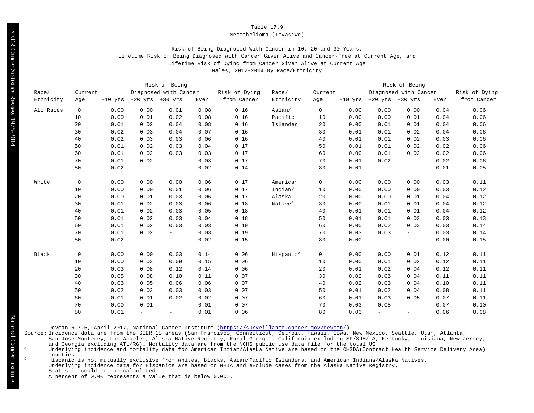#### Mesothelioma (Invasive)

# Risk of Being Diagnosed With Cancer in 10, 20 and 30 Years, Lifetime Risk of Being Diagnosed with Cancer Given Alive and Cancer-Free at Current Age, and Lifetime Risk of Dying from Cancer Given Alive at Current Age Males, 2012-2014 By Race/Ethnicity

|           |             |      |                               | Risk of Being            |      |               |                       |              |      |                               | Risk of Being         |      |               |
|-----------|-------------|------|-------------------------------|--------------------------|------|---------------|-----------------------|--------------|------|-------------------------------|-----------------------|------|---------------|
| Race/     | Current     |      |                               | Diagnosed with Cancer    |      | Risk of Dying | Race/                 | Current      |      |                               | Diagnosed with Cancer |      | Risk of Dying |
| Ethnicity | Age         |      | $+10$ yrs $+20$ yrs $+30$ yrs |                          | Ever | from Cancer   | Ethnicity             | Age          |      | $+10$ yrs $+20$ yrs $+30$ yrs |                       | Ever | from Cancer   |
| All Races | $\mathbf 0$ | 0.00 | 0.00                          | 0.01                     | 0.08 | 0.16          | Asian/                | $\mathbf 0$  | 0.00 | 0.00                          | 0.00                  | 0.04 | 0.06          |
|           | 10          | 0.00 | 0.01                          | 0.02                     | 0.08 | 0.16          | Pacific               | 10           | 0.00 | 0.00                          | 0.01                  | 0.04 | 0.06          |
|           | 20          | 0.01 | 0.02                          | 0.04                     | 0.08 | 0.16          | Islander              | 20           | 0.00 | 0.01                          | 0.01                  | 0.04 | 0.06          |
|           | 30          | 0.02 | 0.03                          | 0.04                     | 0.07 | 0.16          |                       | 30           | 0.01 | 0.01                          | 0.02                  | 0.04 | 0.06          |
|           | 40          | 0.02 | 0.03                          | 0.03                     | 0.06 | 0.16          |                       | 40           | 0.01 | 0.01                          | 0.02                  | 0.03 | 0.06          |
|           | 50          | 0.01 | 0.02                          | 0.03                     | 0.04 | 0.17          |                       | 50           | 0.01 | 0.01                          | 0.02                  | 0.02 | 0.06          |
|           | 60          | 0.01 | 0.02                          | 0.03                     | 0.03 | 0.17          |                       | 60           | 0.00 | 0.01                          | 0.02                  | 0.02 | 0.06          |
|           | 70          | 0.01 | 0.02                          | $\sim$                   | 0.03 | 0.17          |                       | 70           | 0.01 | 0.02                          | $\equiv$              | 0.02 | 0.06          |
|           | 80          | 0.02 | $\equiv$                      | $\equiv$                 | 0.02 | 0.14          |                       | 80           | 0.01 | $\overline{\phantom{a}}$      | $\equiv$              | 0.01 | 0.05          |
| White     | $\mathbf 0$ | 0.00 | 0.00                          | 0.00                     | 0.06 | 0.17          | American              | $\mathsf 0$  | 0.00 | 0.00                          | 0.00                  | 0.03 | 0.11          |
|           | 10          | 0.00 | 0.00                          | 0.01                     | 0.06 | 0.17          | Indian/               | 10           | 0.00 | 0.00                          | 0.00                  | 0.03 | 0.12          |
|           | 20          | 0.00 | 0.01                          | 0.03                     | 0.06 | 0.17          | Alaska                | 20           | 0.00 | 0.00                          | 0.01                  | 0.04 | 0.12          |
|           | 30          | 0.01 | 0.02                          | 0.03                     | 0.06 | 0.18          | Native <sup>a</sup>   | 30           | 0.00 | 0.01                          | 0.01                  | 0.04 | 0.12          |
|           | 40          | 0.01 | 0.02                          | 0.03                     | 0.05 | 0.18          |                       | 40           | 0.01 | 0.01                          | 0.01                  | 0.04 | 0.12          |
|           | 50          | 0.01 | 0.02                          | 0.03                     | 0.04 | 0.18          |                       | 50           | 0.01 | 0.01                          | 0.03                  | 0.03 | 0.13          |
|           | 60          | 0.01 | 0.02                          | 0.03                     | 0.03 | 0.19          |                       | 60           | 0.00 | 0.02                          | 0.03                  | 0.03 | 0.14          |
|           | 70          | 0.01 | 0.02                          | $\overline{\phantom{a}}$ | 0.03 | 0.19          |                       | 70           | 0.03 | 0.03                          | $\sim$                | 0.03 | 0.14          |
|           | 80          | 0.02 | $\overline{\phantom{a}}$      | $\equiv$                 | 0.02 | 0.15          |                       | 80           | 0.00 | $\overline{\phantom{a}}$      | $\equiv$              | 0.00 | 0.15          |
| Black     | $\mathbf 0$ | 0.00 | 0.00                          | 0.03                     | 0.14 | 0.06          | Hispanic <sup>b</sup> | $\mathsf{O}$ | 0.00 | 0.00                          | 0.01                  | 0.12 | 0.11          |
|           | 10          | 0.00 | 0.03                          | 0.09                     | 0.15 | 0.06          |                       | 10           | 0.00 | 0.01                          | 0.02                  | 0.12 | 0.11          |
|           | 20          | 0.03 | 0.08                          | 0.12                     | 0.14 | 0.06          |                       | 20           | 0.01 | 0.02                          | 0.04                  | 0.12 | 0.11          |
|           | 30          | 0.05 | 0.08                          | 0.10                     | 0.11 | 0.07          |                       | 30           | 0.02 | 0.03                          | 0.04                  | 0.11 | 0.11          |
|           | 40          | 0.03 | 0.05                          | 0.06                     | 0.06 | 0.07          |                       | 40           | 0.02 | 0.03                          | 0.04                  | 0.10 | 0.11          |
|           | 50          | 0.02 | 0.03                          | 0.03                     | 0.03 | 0.07          |                       | 50           | 0.01 | 0.02                          | 0.04                  | 0.08 | 0.11          |
|           | 60          | 0.01 | 0.01                          | 0.02                     | 0.02 | 0.07          |                       | 60           | 0.01 | 0.03                          | 0.05                  | 0.07 | 0.11          |
|           | 70          | 0.00 | 0.01                          | $\overline{\phantom{a}}$ | 0.01 | 0.07          |                       | 70           | 0.03 | 0.05                          | $\sim$                | 0.07 | 0.10          |
|           | 80          | 0.01 | $\overline{\phantom{a}}$      | $\overline{\phantom{a}}$ | 0.01 | 0.06          |                       | 80           | 0.03 | $\overline{\phantom{a}}$      | Ξ.                    | 0.06 | 0.08          |

Devcan 6.7.5, April 2017, National Cancer Institute [\(https://surveillance.cancer.gov/devcan/](https://surveillance.cancer.gov/devcan/)).

Source: Incidence data are from the SEER 18 areas (San Francisco, Connecticut, Detroit, Hawaii, Iowa, New Mexico, Seattle, Utah, Atlanta,

San Jose-Monterey, Los Angeles, Alaska Native Registry, Rural Georgia, California excluding SF/SJM/LA, Kentucky, Louisiana, New Jersey, and Georgia excluding ATL/RG). Mortality data are from the NCHS public use data file for the total US.<br>Underlying incidence and mortality data for American Indian/Alaska Native are based on the CHSDA(Contract Health Servic

counties.

 $^{\rm b}$  Hispanic is not mutually exclusive from whites, blacks, Asian/Pacific Islanders, and American Indians/Alaska Natives.

Underlying incidence data for Hispanics are based on NHIA and exclude cases from the Alaska Native Registry.

Statistic could not be calculated.

A percent of 0.00 represents a value that is below 0.005.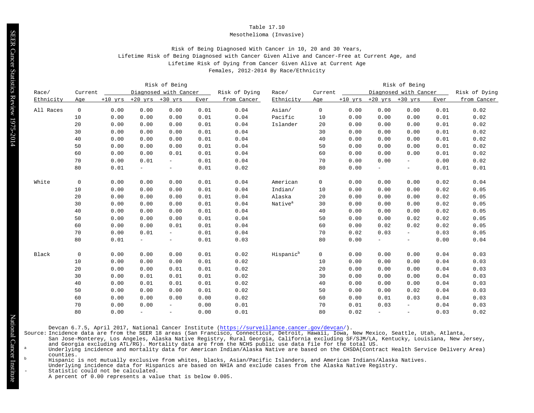#### Mesothelioma (Invasive)

# Risk of Being Diagnosed With Cancer in 10, 20 and 30 Years, Lifetime Risk of Being Diagnosed with Cancer Given Alive and Cancer-Free at Current Age, and Lifetime Risk of Dying from Cancer Given Alive at Current Age Females, 2012-2014 By Race/Ethnicity

Risk of Being Risk of Being Race/ Current Diagnosed with Cancer Risk of Dying Race/ Current Diagnosed with Cancer Risk of Dying Ethnicity Age +10 yrs +20 yrs +30 yrs Ever from Cancer Ethnicity Age +10 yrs +20 yrs +30 yrs Ever from Cancer All Races 0 0.00 0.00 0.00 0.01 0.04 Asian/ 0 0.00 0.00 0.00 0.01 0.02 0.00 0.00 0.00 0.01 0.04 Pacific 10 0.00 0.00 0.00 0.01 0.02 0.00 0.00 0.00 0.01 0.04 Islander 20 0.00 0.00 0.00 0.01 0.02 0.00 0.00 0.00 0.01 0.04 30 0.00 0.00 0.00 0.01 0.02 0.00 0.00 0.00 0.01 0.04 40 0.00 0.00 0.00 0.01 0.02 0.00 0.00 0.00 0.01 0.04 50 0.00 0.00 0.00 0.01 0.02 0.00 0.00 0.01 0.01 0.04 60 0.00 0.00 0.00 0.01 0.02 0.00 0.01 - 0.01 0.04 70 0.00 0.00 - 0.00 0.02 0.01 - - 0.01 0.02 80 0.00 - - 0.01 0.01 White 0 0.00 0.00 0.00 0.01 0.04 American 0 0.00 0.00 0.00 0.02 0.04 0.00 0.00 0.00 0.01 0.04 Indian/ 10 0.00 0.00 0.00 0.02 0.05 0.00 0.00 0.00 0.01 0.04 Alaska 20 0.00 0.00 0.00 0.02 0.05 0.00 0.00 0.00 0.01 0.04 Native<sup>a</sup> 30 0.00 0.00 0.00 0.02 0.05 0.00 0.00 0.00 0.01 0.04 40 0.00 0.00 0.00 0.02 0.05 0.00 0.00 0.00 0.01 0.04 50 0.00 0.00 0.02 0.02 0.05 0.00 0.00 0.01 0.01 0.04 60 0.00 0.02 0.02 0.02 0.05 0.00 0.01 - 0.01 0.04 70 0.02 0.03 - 0.03 0.05 0.01 - - 0.01 0.03 80 0.00 - - 0.00 0.04 Black 0 0.00 0.00 0.00 0.01 0.02 Hispanic<sup>b</sup> 0 0.00 0.00 0.00 0.04 0.03 0.00 0.00 0.00 0.01 0.02 10 0.00 0.00 0.00 0.04 0.03 0.00 0.00 0.01 0.01 0.02 20 0.00 0.00 0.00 0.04 0.03 0.00 0.01 0.01 0.01 0.02 30 0.00 0.00 0.00 0.04 0.03 0.00 0.01 0.01 0.01 0.02 40 0.00 0.00 0.00 0.04 0.03 0.00 0.00 0.00 0.01 0.02 50 0.00 0.00 0.02 0.04 0.03 0.00 0.00 0.00 0.00 0.02 60 0.00 0.01 0.03 0.04 0.03 0.00 0.00 - 0.00 0.01 70 0.01 0.03 - 0.04 0.03 0.00 - - 0.00 0.01 80 0.02 - - 0.03 0.02

Devcan 6.7.5, April 2017, National Cancer Institute [\(https://surveillance.cancer.gov/devcan/](https://surveillance.cancer.gov/devcan/)).

Source: Incidence data are from the SEER 18 areas (San Francisco, Connecticut, Detroit, Hawaii, Iowa, New Mexico, Seattle, Utah, Atlanta,

San Jose-Monterey, Los Angeles, Alaska Native Registry, Rural Georgia, California excluding SF/SJM/LA, Kentucky, Louisiana, New Jersey, and Georgia excluding ATL/RG). Mortality data are from the NCHS public use data file for the total US.<br>Underlying incidence and mortality data for American Indian/Alaska Native are based on the CHSDA(Contract Health Servic

counties.

<sup>b</sup> Hispanic is not mutually exclusive from whites, blacks, Asian/Pacific Islanders, and American Indians/Alaska Natives.

Underlying incidence data for Hispanics are based on NHIA and exclude cases from the Alaska Native Registry.

Statistic could not be calculated.

A percent of 0.00 represents a value that is below 0.005.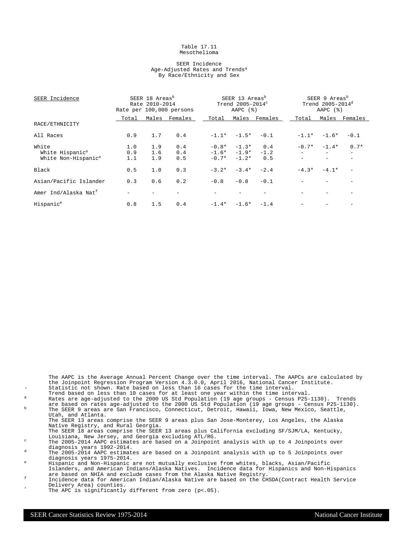#### Table 17.11 Mesothelioma

#### SEER Incidence Age-Adjusted Rates and Trends<sup>a</sup> By Race/Ethnicity and Sex

| SEER Incidence                   |       | SEER 18 Areas <sup>b</sup><br>Rate 2010-2014 | Rate per 100,000 persons |         | SEER 13 Areas <sup>b</sup><br>Trend $2005-2014^\circ$<br>AAPC $(%)$ |               |         | SEER 9 Areas <sup>b</sup><br>Trend $2005 - 2014^d$<br>AAPC $(%)$ |                          |
|----------------------------------|-------|----------------------------------------------|--------------------------|---------|---------------------------------------------------------------------|---------------|---------|------------------------------------------------------------------|--------------------------|
|                                  | Total |                                              | Males Females            | Total   |                                                                     | Males Females | Total   |                                                                  | Males Females            |
| RACE/ETHNICITY                   |       |                                              |                          |         |                                                                     |               |         |                                                                  |                          |
| All Races                        | 0.9   | 1.7                                          | 0.4                      |         | $-1.1* -1.5*$                                                       | $-0.1$        | $-1.1*$ | $-1.6*$                                                          | $-0.1$                   |
| White                            | 1.0   | 1.9                                          | 0.4                      | $-0.8*$ | $-1.3*$                                                             | 0.4           | $-0.7*$ | $-1.4*$                                                          | $0.7*$                   |
| White Hispanic <sup>e</sup>      | 0.9   | 1.6                                          | 0.4                      |         | $-1.6* -1.9*$                                                       | $-1.2$        |         | $\overline{\phantom{0}}$                                         | $\overline{\phantom{0}}$ |
| White Non-Hispanic <sup>e</sup>  | 1.1   | 1.9                                          | 0.5                      | $-0.7*$ | $-1.2*$                                                             | 0.5           |         |                                                                  |                          |
| Black                            | 0.5   | 1.0                                          | 0.3                      | $-3.2*$ | $-3.4*$                                                             | $-2.4$        | $-4.3*$ | $-4.1*$                                                          |                          |
| Asian/Pacific Islander           | 0.3   | 0.6                                          | 0.2                      | $-0.8$  | $-0.8$                                                              | $-0.1$        |         |                                                                  |                          |
| Amer Ind/Alaska Nat <sup>f</sup> |       |                                              |                          |         |                                                                     |               |         |                                                                  |                          |
| Hispanic <sup>e</sup>            | 0.8   | 1.5                                          | 0.4                      |         | $-1.4* -1.6* -1.4$                                                  |               |         |                                                                  |                          |

the Joinpoint Regression Program Version 4.3.0.0, April 2016, National Cancer Institute. Statistic not shown. Rate based on less than 16 cases for the time interval. Trend based on less than 10 cases for at least one year within the time interval. <sup>a</sup> Rates are age-adjusted to the 2000 US Std Population (19 age groups - Census P25-1130). Trends are based on rates age-adjusted to the 2000 US Std Population (19 age groups - Census P25-1130). <sup>b</sup> The SEER 9 areas are San Francisco, Connecticut, Detroit, Hawaii, Iowa, New Mexico, Seattle, Utah, and Atlanta. The SEER 13 areas comprise the SEER 9 areas plus San Jose-Monterey, Los Angeles, the Alaska Native Registry, and Rural Georgia. The SEER 18 areas comprise the SEER 13 areas plus California excluding SF/SJM/LA, Kentucky, Louisiana, New Jersey, and Georgia excluding ATL/RG. <sup>c</sup> The 2005-2014 AAPC estimates are based on a Joinpoint analysis with up to 4 Joinpoints over diagnosis years 1992-2014.  $d$  The 2005-2014 AAPC estimates are based on a Joinpoint analysis with up to 5 Joinpoints over diagnosis years 1975-2014. <sup>e</sup> Hispanic and Non-Hispanic are not mutually exclusive from whites, blacks, Asian/Pacific

The AAPC is the Average Annual Percent Change over the time interval. The AAPCs are calculated by

Islanders, and American Indians/Alaska Natives. Incidence data for Hispanics and Non-Hispanics are based on NHIA and exclude cases from the Alaska Native Registry.

- f Incidence data for American Indian/Alaska Native are based on the CHSDA(Contract Health Service Delivery Area) counties.
	- The APC is significantly different from zero  $(p<.05)$ .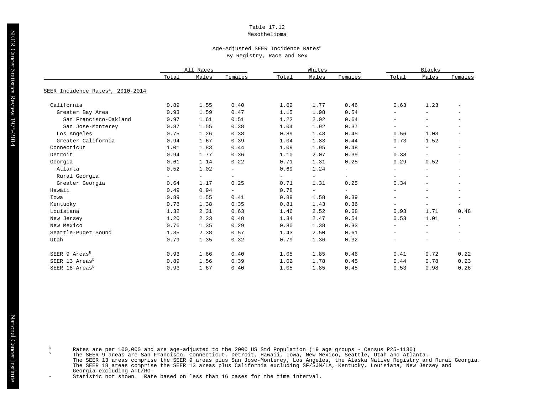## Mesothelioma

#### Age-Adjusted SEER Incidence Rates<sup>a</sup> By Registry, Race and Sex

|                                               | All Races                |                          |                          |                          | Whites                   |                          | Blacks                   |                          |                          |
|-----------------------------------------------|--------------------------|--------------------------|--------------------------|--------------------------|--------------------------|--------------------------|--------------------------|--------------------------|--------------------------|
|                                               | Total                    | Males                    | Females                  | Total                    | Males                    | Females                  | Total                    | Males                    | Females                  |
| SEER Incidence Rates <sup>a</sup> , 2010-2014 |                          |                          |                          |                          |                          |                          |                          |                          |                          |
| California                                    | 0.89                     | 1.55                     | 0.40                     | 1.02                     | 1.77                     | 0.46                     | 0.63                     | 1.23                     | $\overline{\phantom{m}}$ |
| Greater Bay Area                              | 0.93                     | 1.59                     | 0.47                     | 1.15                     | 1.98                     | 0.54                     | $\overline{\phantom{m}}$ | $\overline{\phantom{a}}$ | $\overline{\phantom{a}}$ |
| San Francisco-Oakland                         | 0.97                     | 1.61                     | 0.51                     | 1.22                     | 2.02                     | 0.64                     | $\overline{\phantom{m}}$ | $\overline{\phantom{a}}$ | $\overline{\phantom{a}}$ |
| San Jose-Monterey                             | 0.87                     | 1.55                     | 0.38                     | 1.04                     | 1.92                     | 0.37                     | $\overline{\phantom{m}}$ | $\overline{\phantom{a}}$ |                          |
| Los Angeles                                   | 0.75                     | 1.26                     | 0.38                     | 0.89                     | 1.48                     | 0.45                     | 0.56                     | 1.03                     | $\overline{\phantom{a}}$ |
| Greater California                            | 0.94                     | 1.67                     | 0.39                     | 1.04                     | 1.83                     | 0.44                     | 0.73                     | 1.52                     | $\overline{\phantom{a}}$ |
| Connecticut                                   | 1.01                     | 1.83                     | 0.44                     | 1.09                     | 1.95                     | 0.48                     | $-$                      | $\equiv$                 | $\overline{\phantom{m}}$ |
| Detroit                                       | 0.94                     | 1.77                     | 0.36                     | 1.10                     | 2.07                     | 0.39                     | 0.38                     | $ \,$                    | $\overline{\phantom{a}}$ |
| Georgia                                       | 0.61                     | 1.14                     | 0.22                     | 0.71                     | 1.31                     | 0.25                     | 0.29                     | 0.52                     | $\overline{\phantom{m}}$ |
| Atlanta                                       | 0.52                     | 1.02                     | $\overline{\phantom{a}}$ | 0.69                     | 1.24                     | $-$                      | $\overline{\phantom{a}}$ | $\overline{\phantom{a}}$ | $\overline{\phantom{m}}$ |
| Rural Georgia                                 | $\overline{\phantom{0}}$ | $\overline{\phantom{0}}$ | $\overline{\phantom{a}}$ | $\overline{\phantom{0}}$ | $\equiv$                 | $-$                      | $\overline{\phantom{m}}$ | $\overline{\phantom{a}}$ | $\overline{\phantom{0}}$ |
| Greater Georgia                               | 0.64                     | 1.17                     | 0.25                     | 0.71                     | 1.31                     | 0.25                     | 0.34                     | $\overline{\phantom{a}}$ | $\overline{\phantom{a}}$ |
| Hawaii                                        | 0.49                     | 0.94                     | $\overline{\phantom{a}}$ | 0.78                     | $\overline{\phantom{a}}$ | $\overline{\phantom{0}}$ | $\overline{\phantom{m}}$ | $\overline{\phantom{a}}$ | $\overline{\phantom{a}}$ |
| Iowa                                          | 0.89                     | 1.55                     | 0.41                     | 0.89                     | 1.58                     | 0.39                     | $\overline{\phantom{m}}$ | $\overline{\phantom{a}}$ | $\overline{\phantom{a}}$ |
| Kentucky                                      | 0.78                     | 1.38                     | 0.35                     | 0.81                     | 1.43                     | 0.36                     | $\overline{\phantom{a}}$ | $\overline{\phantom{a}}$ | $\overline{\phantom{a}}$ |
| Louisiana                                     | 1.32                     | 2.31                     | 0.63                     | 1.46                     | 2.52                     | 0.68                     | 0.93                     | 1.71                     | 0.48                     |
| New Jersey                                    | 1.20                     | 2.23                     | 0.48                     | 1.34                     | 2.47                     | 0.54                     | 0.53                     | 1.01                     | $\overline{\phantom{a}}$ |
| New Mexico                                    | 0.76                     | 1.35                     | 0.29                     | 0.80                     | 1.38                     | 0.33                     | $\overline{\phantom{m}}$ |                          | $\overline{\phantom{a}}$ |
| Seattle-Puget Sound                           | 1.35                     | 2.38                     | 0.57                     | 1.43                     | 2.50                     | 0.61                     | $\overline{\phantom{m}}$ | $\overline{\phantom{a}}$ | $\qquad \qquad -$        |
| Utah                                          | 0.79                     | 1.35                     | 0.32                     | 0.79                     | 1.36                     | 0.32                     | $\overline{\phantom{m}}$ | $\overline{\phantom{a}}$ | $\overline{\phantom{0}}$ |
| SEER 9 Areas <sup>b</sup>                     | 0.93                     | 1.66                     | 0.40                     | 1.05                     | 1.85                     | 0.46                     | 0.41                     | 0.72                     | 0.22                     |
| SEER 13 Areas <sup>b</sup>                    | 0.89                     | 1.56                     | 0.39                     | 1.02                     | 1.78                     | 0.45                     | 0.44                     | 0.78                     | 0.23                     |
| SEER 18 Areas <sup>b</sup>                    | 0.93                     | 1.67                     | 0.40                     | 1.05                     | 1.85                     | 0.45                     | 0.53                     | 0.98                     | 0.26                     |

a Rates are per 100,000 and are age-adjusted to the 2000 US Std Population (19 age groups - Census P25-1130)

b The SEER 9 areas are San Francisco, Connecticut, Detroit, Hawaii, Iowa, New Mexico, Seattle, Utah and Atlanta. The SEER 13 areas comprise the SEER 9 areas plus San Jose-Monterey, Los Angeles, the Alaska Native Registry and Rural Georgia. The SEER 18 areas comprise the SEER 13 areas plus California excluding SF/SJM/LA, Kentucky, Louisiana, New Jersey and Georgia excluding ATL/RG.

Statistic not shown. Rate based on less than 16 cases for the time interval.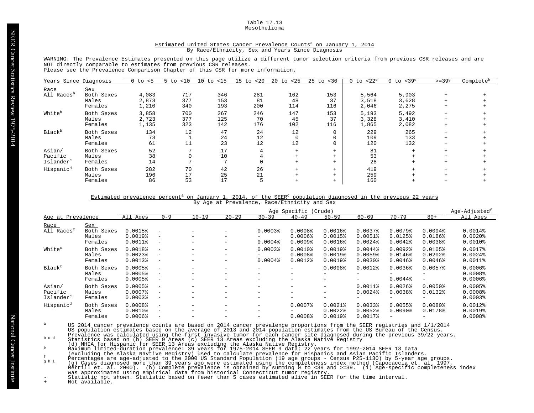#### Table 17.13 Mesothelioma

#### Estimated United States Cancer Prevalence Counts<sup>a</sup> on January 1, 2014 By Race/Ethnicity, Sex and Years Since Diagnosis

WARNING: The Prevalence Estimates presented on this page utilize a different tumor selection criteria from previous CSR releases and are NOT directly comparable to estimates from previous CSR releases.

Please see the Prevalence Comparison Chapter of this CSR for more information.

| Years Since Diagnosis                      |                                       | $0$ to $< 5$            | $5$ to $< 10$     | 10<br>$15$<br>to  | < 20<br>15 to    | 20<br>to $<$ 25  | $25$ to $< 30$    | $0$ to $<$ 22 $^{\circ}$ | $0$ to $<$ 39 <sup>e</sup> | $>=399$ | Complete <sup>h</sup> |
|--------------------------------------------|---------------------------------------|-------------------------|-------------------|-------------------|------------------|------------------|-------------------|--------------------------|----------------------------|---------|-----------------------|
| Race<br>All Races <sup>b</sup>             | Sex<br>Both Sexes<br>Males<br>Females | 4,083<br>2,873<br>1,210 | 717<br>377<br>340 | 346<br>153<br>193 | 281<br>81<br>200 | 162<br>48<br>114 | 153<br>37<br>116  | 5,564<br>3,518<br>2,046  | 5,903<br>3,628<br>2,275    |         |                       |
| White <sup>b</sup>                         | Both Sexes<br>Males<br>Females        | 3,858<br>2,723<br>1,135 | 700<br>377<br>323 | 267<br>125<br>142 | 246<br>70<br>176 | 147<br>45<br>102 | 153<br>37<br>116  | 5,193<br>3,328<br>1,865  | 5,492<br>3,410<br>2,082    |         |                       |
| Black <sup>b</sup>                         | Both Sexes<br>Males<br>Females        | 134<br>73<br>61         | 12                | 47<br>24<br>23    | 24<br>12<br>12   | 12<br>12         |                   | 229<br>109<br>120        | 265<br>133<br>132          |         |                       |
| Asian/<br>Pacific<br>Islander <sup>c</sup> | Both Sexes<br>Males<br>Females        | 52<br>38<br>14          |                   | 17<br>10          |                  |                  | $+$<br>$+$<br>$+$ | 81<br>53<br>28           |                            |         |                       |
| Hispanic <sup>d</sup>                      | Both Sexes<br>Males<br>Females        | 282<br>196<br>86        | 70<br>17<br>53    | 42<br>25<br>17    | 26<br>21         |                  | $+$<br>$+$<br>$+$ | 419<br>259<br>160        |                            |         |                       |

Estimated prevalence percent<sup>a</sup> on January 1, 2014, of the SEER<sup>c</sup> population diagnosed in the previous 22 years By Age at Prevalence, Race/Ethnicity and Sex

|                        |               | Age Specific (Crude)  |                          |                          |                          |                       |                          |                          |                       |                          | Age-Adjusted <sup>t</sup> |                       |
|------------------------|---------------|-----------------------|--------------------------|--------------------------|--------------------------|-----------------------|--------------------------|--------------------------|-----------------------|--------------------------|---------------------------|-----------------------|
| Age at Prevalence      |               | All Ages              | $0 - 9$                  | $10 - 19$                | $20 - 29$                | $30 - 39$             | $40 - 49$                | $50 - 59$                | $60 - 69$             | $70 - 79$                | $80+$                     | All Ages              |
| Race                   | Sex           |                       |                          |                          |                          |                       |                          |                          |                       |                          |                           |                       |
| All Races <sup>c</sup> | Both<br>Sexes | 0.0015%               | $\overline{\phantom{m}}$ |                          | $-$                      | 0.00038               | 0.0008                   | $0.0016$ <sup>8</sup>    | 0.00378               | 0.0079%                  | 0.0094%                   | $0.0014$ %            |
|                        | Males         | 0.0019%               | $\overline{\phantom{m}}$ | $\overline{\phantom{m}}$ | $\qquad \qquad -$        | -                     | $0.0006$ <sup>8</sup>    | 0.0015%                  | 0.0051%               | 0.0125%                  | 0.0186%                   | $0.0020$ $8$          |
|                        | Females       | $0.0011$ %            | $\overline{\phantom{m}}$ |                          | $-$                      | $0.0004$ $%$          | $0.0009$ <sup>8</sup>    | $0.0016$ <sup>8</sup>    | 0.0024%               | $0.0042$ $%$             | $0.0038$ <sup>*</sup>     | $0.0010$ $8$          |
| White <sup>c</sup>     | Both Sexes    | 0.0018%               | $\overline{\phantom{m}}$ |                          | $\qquad \qquad -$        | $0.0003$ <sup>8</sup> | $0.0010$ $8$             | 0.0019%                  | $0.0044$ $%$          | $0.0092$ $%$             | 0.0105%                   | 0.0017%               |
|                        | Males         | $0.0023$ <sup>8</sup> | $\qquad \qquad -$        |                          | $-$                      |                       | 0.0008                   | 0.0019%                  | 0.0059%               | 0.0146%                  | $0.0202$ $%$              | $0.0024$ $8$          |
|                        | Females       | 0.0013%               | $\overline{\phantom{m}}$ | $\overline{\phantom{m}}$ | -                        | $0.0004$ %            | $0.0012$ $8$             | $0.0019$ <sup>8</sup>    | $0.0030$ <sup>8</sup> | $0.0046$ <sup>8</sup>    | $0.0046$ $%$              | $0.0011$ %            |
| Black <sup>c</sup>     | Both Sexes    | 0.0005%               | $\overline{\phantom{a}}$ |                          | -                        | -                     | $-$                      | 0.0008                   | $0.0012$ $%$          | $0.0036$ <sup>8</sup>    | 0.0057%                   | 0.0006%               |
|                        | Males         | 0.0005%               | $\overline{\phantom{a}}$ |                          | -                        | -                     | $\overline{\phantom{0}}$ |                          | $\qquad \qquad$       |                          |                           | 0.0008                |
|                        | Females       | $0.0005$ <sup>8</sup> | $\qquad \qquad -$        |                          | -                        | -                     | $-$                      | $\overline{\phantom{0}}$ | $-$                   | $0.0044$ $%$             | -                         | $0.0006$ <sup>8</sup> |
| Asian/                 | Both Sexes    | 0.0005%               | $\overline{\phantom{a}}$ |                          | -                        | -                     | $\overline{\phantom{0}}$ | $\overline{\phantom{0}}$ | $0.0011$ %            | $0.0026$ <sup>8</sup>    | 0.0050%                   | 0.0005%               |
| Pacific                | Males         | $0.0007$ $%$          | $\overline{\phantom{a}}$ |                          | -                        | -                     | $\overline{\phantom{0}}$ | $\overline{\phantom{0}}$ | $0.0024$ $%$          | 0.0038                   | $0.0132$ $%$              | 0.0008                |
| Islander <sup>c</sup>  | Females       | $0.0003$ <sup>8</sup> | $\overline{\phantom{m}}$ |                          | $\overline{\phantom{0}}$ | -                     | $\overline{\phantom{0}}$ |                          | $\qquad \qquad$       | $\overline{\phantom{0}}$ | $\qquad \qquad$           | 0.00038               |
| Hispanic <sup>d</sup>  | Both Sexes    | 0.0008                | $\overline{\phantom{a}}$ |                          | -                        | -                     | $0.0007$ $8$             | $0.0021$ $8$             | 0.00338               | 0.0055%                  | 0.0080%                   | $0.0012$ $%$          |
|                        | Males         | $0.0010$ $8$          | $\qquad \qquad -$        | $\overline{\phantom{m}}$ | $-$                      | -                     | $-$                      | $0.0022$ $8$             | $0.0052$ $%$          | $0.0090$ <sup>8</sup>    | 0.0178%                   | 0.0019%               |
|                        | Females       | $0.0006$ <sup>8</sup> | $\overline{\phantom{0}}$ |                          | -                        | -                     | 0.0008                   | 0.00198                  | 0.0017%               |                          | $\qquad \qquad$           | 0.0008                |

US 2014 cancer prevalence counts are based on 2014 cancer prevalence proportions from the SEER registries and 1/1/2014<br>US population estimates based on the average of 2013 and 2014 population estimates from the US Bureau o

b c d<br>
Statistics based on (b) SEER 9 Areas (c) SEER 13 Areas excluding the Alaska Native Registry<br>
(d) NHIA for Hispanic for SEER 13 Areas excluding the Alaska Native Registry.<br>
Maximum limited-duration prevalence: 39 yea was approximated using empirical data from historical Connecticut tumor registry. - Statistic not shown. Statistic based on fewer than 5 cases estimated alive in SEER for the time interval.

+ Not available.